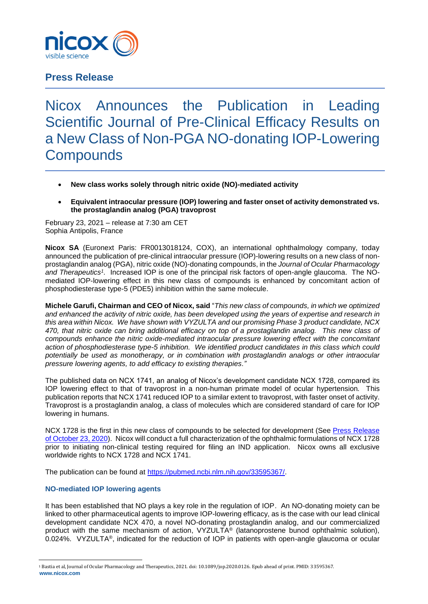

# **Press Release**

# Nicox Announces the Publication in Leading Scientific Journal of Pre-Clinical Efficacy Results on a New Class of Non-PGA NO-donating IOP-Lowering **Compounds**

- **New class works solely through nitric oxide (NO)-mediated activity**
- **Equivalent intraocular pressure (IOP) lowering and faster onset of activity demonstrated vs. the prostaglandin analog (PGA) travoprost**

February 23, 2021 – release at 7:30 am CET Sophia Antipolis, France

**Nicox SA** (Euronext Paris: FR0013018124, COX), an international ophthalmology company, today announced the publication of pre-clinical intraocular pressure (IOP)-lowering results on a new class of nonprostaglandin analog (PGA), nitric oxide (NO)-donating compounds, in the *Journal of Ocular Pharmacology*  and Therapeutics<sup>1</sup>. Increased IOP is one of the principal risk factors of open-angle glaucoma. The NOmediated IOP-lowering effect in this new class of compounds is enhanced by concomitant action of phosphodiesterase type-5 (PDE5) inhibition within the same molecule.

**Michele Garufi, Chairman and CEO of Nicox, said** "*This new class of compounds, in which we optimized and enhanced the activity of nitric oxide, has been developed using the years of expertise and research in this area within Nicox. We have shown with VYZULTA and our promising Phase 3 product candidate, NCX 470, that nitric oxide can bring additional efficacy on top of a prostaglandin analog. This new class of compounds enhance the nitric oxide-mediated intraocular pressure lowering effect with the concomitant action of phosphodiesterase type-5 inhibition. We identified product candidates in this class which could potentially be used as monotherapy, or in combination with prostaglandin analogs or other intraocular pressure lowering agents, to add efficacy to existing therapies."*

The published data on NCX 1741, an analog of Nicox's development candidate NCX 1728, compared its IOP lowering effect to that of travoprost in a non-human primate model of ocular hypertension*.* This publication reports that NCX 1741 reduced IOP to a similar extent to travoprost, with faster onset of activity. Travoprost is a prostaglandin analog, a class of molecules which are considered standard of care for IOP lowering in humans.

NCX 1728 is the first in this new class of compounds to be selected for development (See Press Release [of October 23, 2020\)](https://www.nicox.com/assets/files/EN_NCX-1728-selection-PR_20201023_F..pdf). Nicox will conduct a full characterization of the ophthalmic formulations of NCX 1728 prior to initiating non-clinical testing required for filing an IND application. Nicox owns all exclusive worldwide rights to NCX 1728 and NCX 1741.

The publication can be found at [https://pubmed.ncbi.nlm.nih.gov/33595367/.](https://pubmed.ncbi.nlm.nih.gov/33595367/)

## **NO-mediated IOP lowering agents**

<u>.</u>

It has been established that NO plays a key role in the regulation of IOP. An NO-donating moiety can be linked to other pharmaceutical agents to improve IOP-lowering efficacy, as is the case with our lead clinical development candidate NCX 470, a novel NO-donating prostaglandin analog, and our commercialized product with the same mechanism of action, VYZULTA® (latanoprostene bunod ophthalmic solution), 0.024%. VYZULTA®, indicated for the reduction of IOP in patients with open-angle glaucoma or ocular

**[www.nicox.com](http://www.nicox.com/)** <sup>1</sup> Bastia et al, Journal of Ocular Pharmacology and Therapeutics, 2021. doi: 10.1089/jop.2020.0126. Epub ahead of print. PMID: 33595367.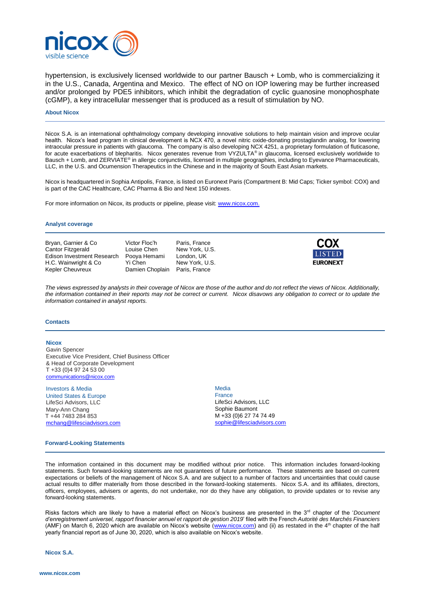

hypertension, is exclusively licensed worldwide to our partner Bausch + Lomb, who is commercializing it in the U.S., Canada, Argentina and Mexico. The effect of NO on IOP lowering may be further increased and/or prolonged by PDE5 inhibitors, which inhibit the degradation of cyclic guanosine monophosphate (cGMP), a key intracellular messenger that is produced as a result of stimulation by NO.

#### **About Nicox**

Nicox S.A. is an international ophthalmology company developing innovative solutions to help maintain vision and improve ocular health. Nicox's lead program in clinical development is NCX 470, a novel nitric oxide-donating prostaglandin analog, for lowering intraocular pressure in patients with glaucoma. The company is also developing NCX 4251, a proprietary formulation of fluticasone, for acute exacerbations of blepharitis. Nicox generates revenue from VYZULTA® in glaucoma, licensed exclusively worldwide to Bausch + Lomb, and ZERVIATE® in allergic conjunctivitis, licensed in multiple geographies, including to Eyevance Pharmaceuticals, LLC, in the U.S. and Ocumension Therapeutics in the Chinese and in the majority of South East Asian markets.

Nicox is headquartered in Sophia Antipolis, France, is listed on Euronext Paris (Compartment B: Mid Caps; Ticker symbol: COX) and is part of the CAC Healthcare, CAC Pharma & Bio and Next 150 indexes.

For more information on Nicox, its products or pipeline, please visit[: www.nicox.com.](http://www.nicox.com/)

#### **Analyst coverage**

Bryan, Garnier & Co Victor Floc'h Paris, France Cantor Fitzgerald Louise Chen New York, U.S.<br>Edison Investment Research Pooya Hemami London, UK Edison Investment Research Pooya Hemami London, UK<br>H.C. Wainwright & Co Yi Chen New York, U.S. H.C. Wainwright & Co Kepler Cheuvreux **Damien Choplain** Paris, France



*The views expressed by analysts in their coverage of Nicox are those of the author and do not reflect the views of Nicox. Additionally, the information contained in their reports may not be correct or current. Nicox disavows any obligation to correct or to update the information contained in analyst reports.*

#### **Contacts**

#### **Nicox**

Gavin Spencer Executive Vice President, Chief Business Officer & Head of Corporate Development T +33 (0)4 97 24 53 00 [communications@nicox.com](mailto:communications@nicox.com) 

#### Investors & Media

United States & Europe LifeSci Advisors, LLC Mary-Ann Chang T +44 7483 284 853 [mchang@lifesciadvisors.com](mailto:mchang@lifesciadvisors.com)

### **Media**

France LifeSci Advisors, LLC Sophie Baumont M +33 (0)6 27 74 74 49 [sophie@lifesciadvisors.com](mailto:sophie@lifesciadvisors.com)

#### **Forward-Looking Statements**

The information contained in this document may be modified without prior notice. This information includes forward-looking statements. Such forward-looking statements are not guarantees of future performance. These statements are based on current expectations or beliefs of the management of Nicox S.A. and are subject to a number of factors and uncertainties that could cause actual results to differ materially from those described in the forward-looking statements. Nicox S.A. and its affiliates, directors, officers, employees, advisers or agents, do not undertake, nor do they have any obligation, to provide updates or to revise any forward-looking statements.

Risks factors which are likely to have a material effect on Nicox's business are presented in the 3<sup>rd</sup> chapter of the '*Document d'enregistrement universel, rapport financier annuel et rapport de gestion 2019*' filed with the French *Autorité des Marchés Financiers* (AMF) on March 6, 2020 which are available on Nicox's website [\(www.nicox.com\)](http://www.nicox.com/) and (ii) as restated in the  $4<sup>th</sup>$  chapter of the half yearly financial report as of June 30, 2020, which is also available on Nicox's website.

**Nicox S.A.**